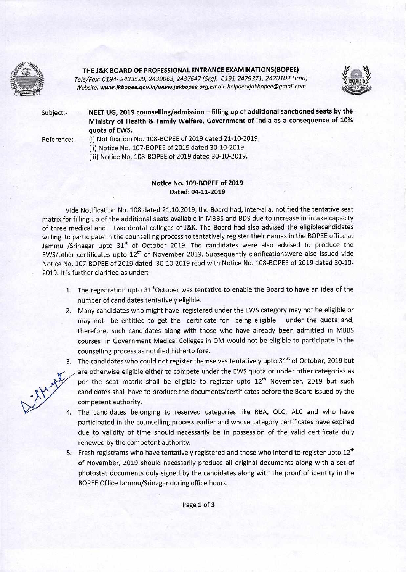

**THE J&K BOARD OF PROFESSIONAL ENTRANCE EXAMINATIONS(BOPEE)** 

*Tele/Fax: 0194- 2433590, 2439063, 2437647 (Srg): 0191-2479371, 2470102 (Jmu)*  **Website: www.jkbopee.gov.in/www.jakbopee.org,Email: helpdeskjakbopee@gmaiLcom** 



Subject:- **NEET UG, 2019 counselling/admission — filling up of additional sanctioned seats by the Ministry of Health & Family Welfare, Government of India as a consequence of 10% quota of EWS.** 

Reference:- (i) Notification No. 108-BOPEE of 2019 dated 21-10-2019. (ii) Notice No. 107-BOPEE of 2019 dated 30-10-2019 (iii) Notice No. 108-BOPEE of 2019 dated 30-10-2019.

## **Notice No. 109-BOPEE of 2019 Dated: 04-11-2019**

Vide Notification No. 108 dated 21.10.2019, the Board had, inter-alia, notified the tentative seat matrix for filling up of the additional seats available in MBBS and BDS due to increase in intake capacity of three medical and two dental colleges of J&K. The Board had also advised the eligiblecandidates willing to participate in the counselling process to tentatively register their names in the BOPEE office at Jammu /Srinagar upto 31<sup>st</sup> of October 2019. The candidates were also advised to produce the EWS/other certificates upto 12<sup>th</sup> of November 2019. Subsequently clarificationswere also issued vide Notice No. 107-BOPEE of 2019 dated 30-10-2019 read with Notice No. 108-BOPEE of 2019 dated 30-10- 2019. It is further clarified as under:-

- 1. The registration upto 31<sup>st</sup>October was tentative to enable the Board to have an idea of the number of candidates tentatively eligible.
- 2. Many candidates who might have registered under the EWS category may not be eligible or may not be entitled to get the certificate for being eligible under the quota and, therefore, such candidates along with those who have already been admitted in MBBS courses in Government Medical Colleges in OM would not be eligible to participate in the counselling process as notified hitherto fore.
- 3. The candidates who could not register themselves tentatively upto 31<sup>st</sup> of October, 2019 but are otherwise eligible either to compete under the EWS quota or under other categories as per the seat matrix shall be eligible to register upto  $12<sup>th</sup>$  November, 2019 but such candidates shall have to produce the documents/certificates before the Board issued by the competent authority.
- 4. The candidates belonging to reserved categories like RBA, OLC, ALC and who have participated in the counselling process earlier and whose category certificates have expired due to validity of time should necessarily be in possession of the valid certificate duly renewed by the competent authority.
- 5. Fresh registrants who have tentatively registered and those who intend to register upto  $12^{th}$ of November, 2019 should necessarily produce all original documents along with a set of photostat documents duly signed by the candidates along with the proof of identity in the BOPEE Office Jammu/Srinagar during office hours.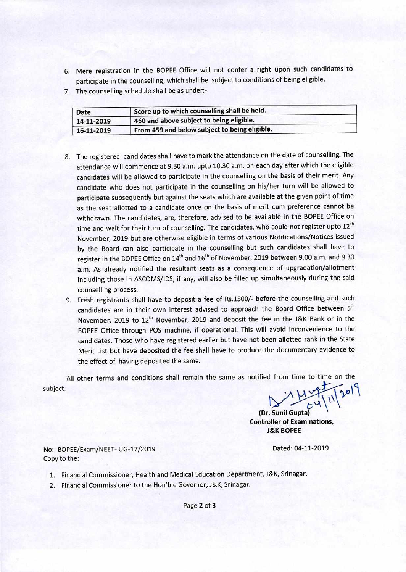- 6. Mere registration in the BOPEE Office will not confer a right upon such candidates to participate in the counselling, which shall be subject to conditions of being eligible.
- 7. The counselling schedule shall be as under:-

| Date       | Score up to which counselling shall be held.  |  |
|------------|-----------------------------------------------|--|
| 14-11-2019 | 460 and above subject to being eligible.      |  |
| 16-11-2019 | From 459 and below subject to being eligible. |  |
|            |                                               |  |

- 8. The registered candidates shall have to mark the attendance on the date of counselling. The attendance will commence at 9.30 a.m. upto 10.30 a.m. on each day after which the eligible candidates will be allowed to participate in the counselling on the basis of their merit. Any candidate who does not participate in the counselling on his/her turn will be allowed to participate subsequently but against the seats which are available at the given point of time as the seat allotted to a candidate once on the basis of merit cum preference cannot be withdrawn. The candidates, are, therefore, advised to be available in the BOPEE Office on time and wait for their turn of counselling. The candidates, who could not register upto  $12^{th}$ November, 2019 but are otherwise eligible in terms of various Notifications/Notices issued by the Board can also participate in the counselling but such candidates shall have to register in the BOPEE Office on 14<sup>th</sup> and 16<sup>th</sup> of November, 2019 between 9.00 a.m. and 9.30 a.m. As already notified the resultant seats as a consequence of upgradation/allotment including those in ASCOMS/IDS, if any, will also be filled up simultaneously during the said counselling process.
- 9. Fresh registrants shall have to deposit a fee of Rs.1500/- before the counselling and such candidates are in their own interest advised to approach the Board Office between 5<sup>th</sup> November, 2019 to 12<sup>th</sup> November, 2019 and deposit the fee in the J&K Bank or in the BOPEE Office through POS machine, if operational. This will avoid inconvenience to the candidates. Those who have registered earlier but have not been allotted rank in the State Merit List but have deposited the fee shall have to produce the documentary evidence to the effect of having deposited the same.

All other terms and conditions shall remain the same as notified from time to time on the subject.

 $C_2$   $|W|$ 

**(Dr. Sunil Gupta) Controller of Examinations, J&K BOPEE** 

No:- BOPEE/Exam/NEET- UG-17/2019 Dated: 04-11-2019 Copy to the:

- 1. Financial Commissioner, Health and Medical Education Department, J&K, Srinagar.
- 2. Financial Commissioner to the Hon'ble Governor, J&K, Srinagar.